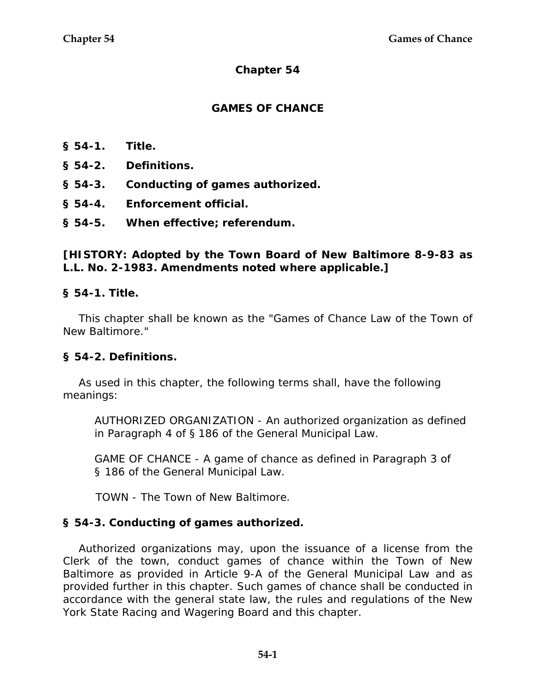# **Chapter 54**

## **GAMES OF CHANCE**

- **§ 54-1. Title.**
- **§ 54-2. Definitions.**
- **§ 54-3. Conducting of games authorized.**
- **§ 54-4. Enforcement official.**
- **§ 54-5. When effective; referendum.**

## **[HISTORY: Adopted by the Town Board of New Baltimore 8-9-83 as L.L. No. 2-1983. Amendments noted where applicable.]**

#### **§ 54-1. Title.**

This chapter shall be known as the "Games of Chance Law of the Town of New Baltimore."

#### **§ 54-2. Definitions.**

As used in this chapter, the following terms shall, have the following meanings:

AUTHORIZED ORGANIZATION - An authorized organization as defined in Paragraph 4 of § 186 of the General Municipal Law.

GAME OF CHANCE - A game of chance as defined in Paragraph 3 of § 186 of the General Municipal Law.

TOWN - The Town of New Baltimore.

#### **§ 54-3. Conducting of games authorized.**

Authorized organizations may, upon the issuance of a license from the Clerk of the town, conduct games of chance within the Town of New Baltimore as provided in Article 9-A of the General Municipal Law and as provided further in this chapter. Such games of chance shall be conducted in accordance with the general state law, the rules and regulations of the New York State Racing and Wagering Board and this chapter.